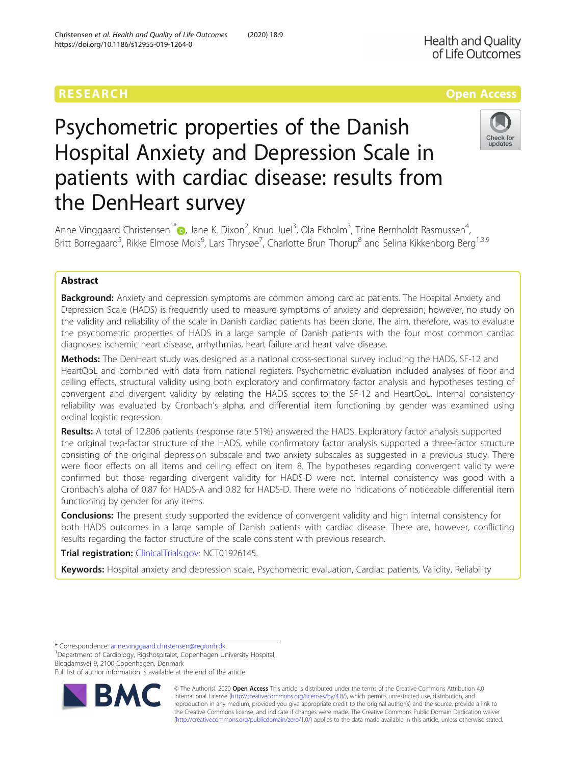## RESEARCH **RESEARCH CONSUMING THE CONSUMING THE CONSUMING THE CONSUMING TENS**

# Psychometric properties of the Danish Hospital Anxiety and Depression Scale in patients with cardiac disease: results from the DenHeart survey



Anne Vinggaard Christensen<sup>1\*</sup> D[,](http://orcid.org/0000-0001-7468-9101) Jane K. Dixon<sup>2</sup>, Knud Juel<sup>3</sup>, Ola Ekholm<sup>3</sup>, Trine Bernholdt Rasmussen<sup>4</sup> , Britt Borregaard<sup>5</sup>, Rikke Elmose Mols<sup>6</sup>, Lars Thrysøe<sup>7</sup>, Charlotte Brun Thorup<sup>8</sup> and Selina Kikkenborg Berg<sup>1,3,9</sup>

## Abstract

**Background:** Anxiety and depression symptoms are common among cardiac patients. The Hospital Anxiety and Depression Scale (HADS) is frequently used to measure symptoms of anxiety and depression; however, no study on the validity and reliability of the scale in Danish cardiac patients has been done. The aim, therefore, was to evaluate the psychometric properties of HADS in a large sample of Danish patients with the four most common cardiac diagnoses: ischemic heart disease, arrhythmias, heart failure and heart valve disease.

**Methods:** The DenHeart study was designed as a national cross-sectional survey including the HADS, SF-12 and HeartQoL and combined with data from national registers. Psychometric evaluation included analyses of floor and ceiling effects, structural validity using both exploratory and confirmatory factor analysis and hypotheses testing of convergent and divergent validity by relating the HADS scores to the SF-12 and HeartQoL. Internal consistency reliability was evaluated by Cronbach's alpha, and differential item functioning by gender was examined using ordinal logistic regression.

Results: A total of 12,806 patients (response rate 51%) answered the HADS. Exploratory factor analysis supported the original two-factor structure of the HADS, while confirmatory factor analysis supported a three-factor structure consisting of the original depression subscale and two anxiety subscales as suggested in a previous study. There were floor effects on all items and ceiling effect on item 8. The hypotheses regarding convergent validity were confirmed but those regarding divergent validity for HADS-D were not. Internal consistency was good with a Cronbach's alpha of 0.87 for HADS-A and 0.82 for HADS-D. There were no indications of noticeable differential item functioning by gender for any items.

**Conclusions:** The present study supported the evidence of convergent validity and high internal consistency for both HADS outcomes in a large sample of Danish patients with cardiac disease. There are, however, conflicting results regarding the factor structure of the scale consistent with previous research.

Trial registration: [ClinicalTrials.gov](http://clinicaltrials.gov): NCT01926145.

Keywords: Hospital anxiety and depression scale, Psychometric evaluation, Cardiac patients, Validity, Reliability

\* Correspondence: [anne.vinggaard.christensen@regionh.dk](mailto:anne.vinggaard.christensen@regionh.dk) <sup>1</sup>

Department of Cardiology, Rigshospitalet, Copenhagen University Hospital, Blegdamsvej 9, 2100 Copenhagen, Denmark

Full list of author information is available at the end of the article



© The Author(s). 2020 Open Access This article is distributed under the terms of the Creative Commons Attribution 4.0 International License [\(http://creativecommons.org/licenses/by/4.0/](http://creativecommons.org/licenses/by/4.0/)), which permits unrestricted use, distribution, and reproduction in any medium, provided you give appropriate credit to the original author(s) and the source, provide a link to the Creative Commons license, and indicate if changes were made. The Creative Commons Public Domain Dedication waiver [\(http://creativecommons.org/publicdomain/zero/1.0/](http://creativecommons.org/publicdomain/zero/1.0/)) applies to the data made available in this article, unless otherwise stated.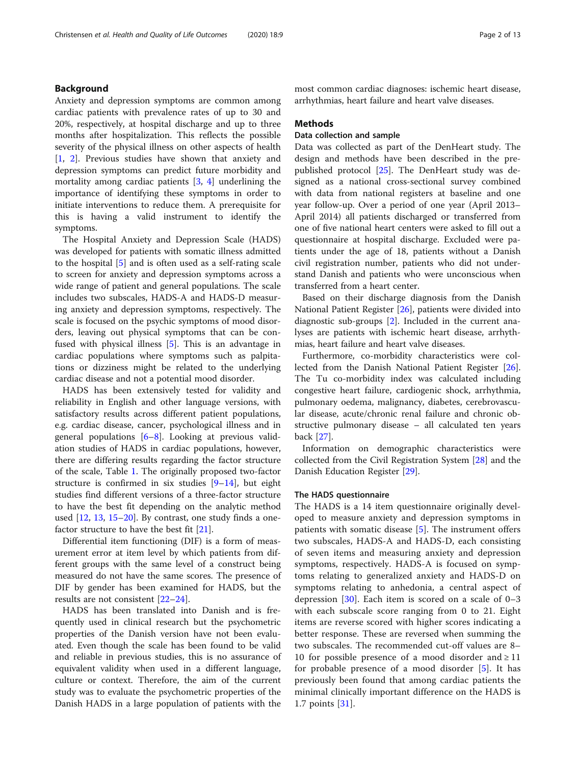Anxiety and depression symptoms are common among cardiac patients with prevalence rates of up to 30 and 20%, respectively, at hospital discharge and up to three months after hospitalization. This reflects the possible severity of the physical illness on other aspects of health [[1,](#page-11-0) [2](#page-11-0)]. Previous studies have shown that anxiety and depression symptoms can predict future morbidity and mortality among cardiac patients  $[3, 4]$  $[3, 4]$  $[3, 4]$  $[3, 4]$  underlining the importance of identifying these symptoms in order to initiate interventions to reduce them. A prerequisite for this is having a valid instrument to identify the symptoms.

The Hospital Anxiety and Depression Scale (HADS) was developed for patients with somatic illness admitted to the hospital [[5\]](#page-11-0) and is often used as a self-rating scale to screen for anxiety and depression symptoms across a wide range of patient and general populations. The scale includes two subscales, HADS-A and HADS-D measuring anxiety and depression symptoms, respectively. The scale is focused on the psychic symptoms of mood disorders, leaving out physical symptoms that can be confused with physical illness [[5\]](#page-11-0). This is an advantage in cardiac populations where symptoms such as palpitations or dizziness might be related to the underlying cardiac disease and not a potential mood disorder.

HADS has been extensively tested for validity and reliability in English and other language versions, with satisfactory results across different patient populations, e.g. cardiac disease, cancer, psychological illness and in general populations [[6](#page-11-0)–[8](#page-11-0)]. Looking at previous validation studies of HADS in cardiac populations, however, there are differing results regarding the factor structure of the scale, Table [1.](#page-2-0) The originally proposed two-factor structure is confirmed in six studies  $[9-14]$  $[9-14]$  $[9-14]$ , but eight studies find different versions of a three-factor structure to have the best fit depending on the analytic method used [[12,](#page-11-0) [13,](#page-11-0) [15](#page-11-0)–[20\]](#page-11-0). By contrast, one study finds a onefactor structure to have the best fit [[21\]](#page-11-0).

Differential item functioning (DIF) is a form of measurement error at item level by which patients from different groups with the same level of a construct being measured do not have the same scores. The presence of DIF by gender has been examined for HADS, but the results are not consistent [[22](#page-11-0)–[24](#page-11-0)].

HADS has been translated into Danish and is frequently used in clinical research but the psychometric properties of the Danish version have not been evaluated. Even though the scale has been found to be valid and reliable in previous studies, this is no assurance of equivalent validity when used in a different language, culture or context. Therefore, the aim of the current study was to evaluate the psychometric properties of the Danish HADS in a large population of patients with the

most common cardiac diagnoses: ischemic heart disease, arrhythmias, heart failure and heart valve diseases.

## Methods

## Data collection and sample

Data was collected as part of the DenHeart study. The design and methods have been described in the prepublished protocol [[25\]](#page-11-0). The DenHeart study was designed as a national cross-sectional survey combined with data from national registers at baseline and one year follow-up. Over a period of one year (April 2013– April 2014) all patients discharged or transferred from one of five national heart centers were asked to fill out a questionnaire at hospital discharge. Excluded were patients under the age of 18, patients without a Danish civil registration number, patients who did not understand Danish and patients who were unconscious when transferred from a heart center.

Based on their discharge diagnosis from the Danish National Patient Register [[26](#page-11-0)], patients were divided into diagnostic sub-groups [\[2](#page-11-0)]. Included in the current analyses are patients with ischemic heart disease, arrhythmias, heart failure and heart valve diseases.

Furthermore, co-morbidity characteristics were collected from the Danish National Patient Register [\[26](#page-11-0)]. The Tu co-morbidity index was calculated including congestive heart failure, cardiogenic shock, arrhythmia, pulmonary oedema, malignancy, diabetes, cerebrovascular disease, acute/chronic renal failure and chronic obstructive pulmonary disease – all calculated ten years back [[27](#page-11-0)].

Information on demographic characteristics were collected from the Civil Registration System [[28](#page-11-0)] and the Danish Education Register [\[29\]](#page-11-0).

## The HADS questionnaire

The HADS is a 14 item questionnaire originally developed to measure anxiety and depression symptoms in patients with somatic disease [[5](#page-11-0)]. The instrument offers two subscales, HADS-A and HADS-D, each consisting of seven items and measuring anxiety and depression symptoms, respectively. HADS-A is focused on symptoms relating to generalized anxiety and HADS-D on symptoms relating to anhedonia, a central aspect of depression  $[30]$  $[30]$ . Each item is scored on a scale of 0-3 with each subscale score ranging from 0 to 21. Eight items are reverse scored with higher scores indicating a better response. These are reversed when summing the two subscales. The recommended cut-off values are 8– 10 for possible presence of a mood disorder and  $\ge$  11 for probable presence of a mood disorder [[5\]](#page-11-0). It has previously been found that among cardiac patients the minimal clinically important difference on the HADS is 1.7 points [[31\]](#page-11-0).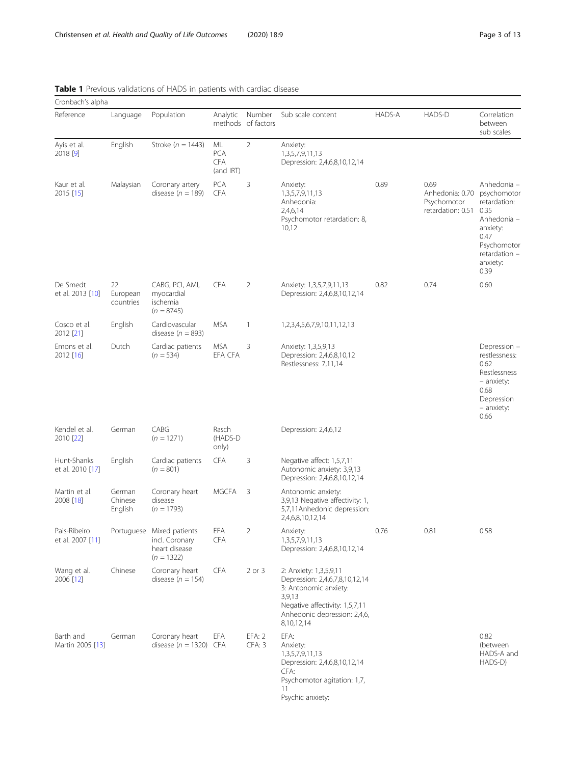| Cronbach's alpha                 |                              |                                                                              |                                             |                              |                                                                                                                                                                             |        |                                                             |                                                                                                                                           |
|----------------------------------|------------------------------|------------------------------------------------------------------------------|---------------------------------------------|------------------------------|-----------------------------------------------------------------------------------------------------------------------------------------------------------------------------|--------|-------------------------------------------------------------|-------------------------------------------------------------------------------------------------------------------------------------------|
| Reference                        | Language                     | Population                                                                   | Analytic                                    | Number<br>methods of factors | Sub scale content                                                                                                                                                           | HADS-A | HADS-D                                                      | Correlation<br>between<br>sub scales                                                                                                      |
| Ayis et al.<br>2018 [9]          | English                      | Stroke ( $n = 1443$ )                                                        | ML<br><b>PCA</b><br><b>CFA</b><br>(and IRT) | $\overline{2}$               | Anxiety:<br>1,3,5,7,9,11,13<br>Depression: 2,4,6,8,10,12,14                                                                                                                 |        |                                                             |                                                                                                                                           |
| Kaur et al.<br>2015 [15]         | Malaysian                    | Coronary artery<br>disease ( $n = 189$ )                                     | <b>PCA</b><br><b>CFA</b>                    | 3                            | Anxiety:<br>1,3,5,7,9,11,13<br>Anhedonia:<br>2,4,6,14<br>Psychomotor retardation: 8,<br>10,12                                                                               | 0.89   | 0.69<br>Anhedonia: 0.70<br>Psychomotor<br>retardation: 0.51 | Anhedonia -<br>psychomotor<br>retardation:<br>0.35<br>Anhedonia -<br>anxiety:<br>0.47<br>Psychomotor<br>retardation -<br>anxiety:<br>0.39 |
| De Smedt<br>et al. 2013 [10]     | 22<br>European<br>countries  | CABG, PCI, AMI,<br>myocardial<br>ischemia<br>$(n = 8745)$                    | <b>CFA</b>                                  | $\overline{2}$               | Anxiety: 1,3,5,7,9,11,13<br>Depression: 2,4,6,8,10,12,14                                                                                                                    | 0.82   | 0.74                                                        | 0.60                                                                                                                                      |
| Cosco et al.<br>2012 [21]        | English                      | Cardiovascular<br>disease ( $n = 893$ )                                      | <b>MSA</b>                                  | $\mathbf{1}$                 | 1,2,3,4,5,6,7,9,10,11,12,13                                                                                                                                                 |        |                                                             |                                                                                                                                           |
| Emons et al.<br>2012 [16]        | Dutch                        | Cardiac patients<br>$(n = 534)$                                              | <b>MSA</b><br>EFA CFA                       | 3                            | Anxiety: 1,3,5,9,13<br>Depression: 2,4,6,8,10,12<br>Restlessness: 7,11,14                                                                                                   |        |                                                             | Depression -<br>restlessness:<br>0.62<br>Restlessness<br>- anxiety:<br>0.68<br>Depression<br>- anxiety:<br>0.66                           |
| Kendel et al.<br>2010 [22]       | German                       | CABG<br>$(n = 1271)$                                                         | Rasch<br>(HADS-D<br>only)                   |                              | Depression: 2,4,6,12                                                                                                                                                        |        |                                                             |                                                                                                                                           |
| Hunt-Shanks<br>et al. 2010 [17]  | English                      | Cardiac patients<br>$(n = 801)$                                              | <b>CFA</b>                                  | 3                            | Negative affect: 1,5,7,11<br>Autonomic anxiety: 3,9,13<br>Depression: 2,4,6,8,10,12,14                                                                                      |        |                                                             |                                                                                                                                           |
| Martin et al.<br>2008 [18]       | German<br>Chinese<br>English | Coronary heart<br>disease<br>$(n = 1793)$                                    | <b>MGCFA</b>                                | 3                            | Antonomic anxiety:<br>3,9,13 Negative affectivity: 1,<br>5,7,11 Anhedonic depression:<br>2,4,6,8,10,12,14                                                                   |        |                                                             |                                                                                                                                           |
| Pais-Ribeiro<br>et al. 2007 [11] |                              | Portuguese Mixed patients<br>incl. Coronary<br>heart disease<br>$(n = 1322)$ | EFA<br><b>CFA</b>                           | 2                            | Anxiety:<br>1,3,5,7,9,11,13<br>Depression: 2,4,6,8,10,12,14                                                                                                                 | 0.76   | 0.81                                                        | 0.58                                                                                                                                      |
| Wang et al.<br>2006 [12]         | Chinese                      | Coronary heart<br>disease ( $n = 154$ )                                      | <b>CFA</b>                                  | $2$ or $3$                   | 2: Anxiety: 1,3,5,9,11<br>Depression: 2,4,6,7,8,10,12,14<br>3: Antonomic anxiety:<br>3,9,13<br>Negative affectivity: 1,5,7,11<br>Anhedonic depression: 2,4,6,<br>8,10,12,14 |        |                                                             |                                                                                                                                           |
| Barth and<br>Martin 2005 [13]    | German                       | Coronary heart<br>disease ( $n = 1320$ ) CFA                                 | EFA                                         | EFA: 2<br>CFA: 3             | EFA:<br>Anxiety:<br>1,3,5,7,9,11,13<br>Depression: 2,4,6,8,10,12,14<br>CFA:<br>Psychomotor agitation: 1,7,<br>11<br>Psychic anxiety:                                        |        |                                                             | 0.82<br>(between<br>HADS-A and<br>HADS-D)                                                                                                 |

## <span id="page-2-0"></span>Table 1 Previous validations of HADS in patients with cardiac disease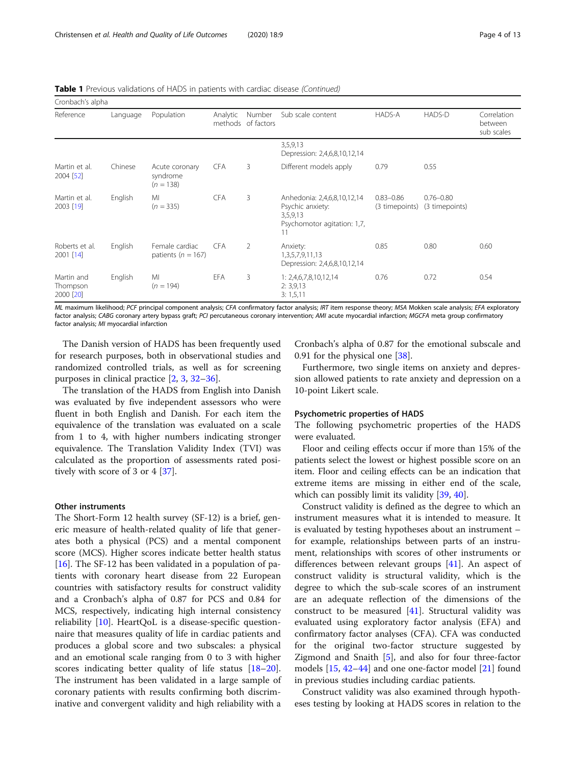Table 1 Previous validations of HADS in patients with cardiac disease (Continued)

| Cronbach's alpha                    |          |                                           |                     |                      |                                                                                                  |                                 |                                 |                                      |
|-------------------------------------|----------|-------------------------------------------|---------------------|----------------------|--------------------------------------------------------------------------------------------------|---------------------------------|---------------------------------|--------------------------------------|
| Reference                           | Language | Population                                | Analytic<br>methods | Number<br>of factors | Sub scale content                                                                                | <b>HADS-A</b>                   | HADS-D                          | Correlation<br>between<br>sub scales |
|                                     |          |                                           |                     |                      | 3,5,9,13<br>Depression: 2,4,6,8,10,12,14                                                         |                                 |                                 |                                      |
| Martin et al.<br>2004 [52]          | Chinese  | Acute coronary<br>syndrome<br>$(n = 138)$ | <b>CFA</b>          | 3                    | Different models apply                                                                           | 0.79                            | 0.55                            |                                      |
| Martin et al.<br>2003 [19]          | English  | MI<br>$(n = 335)$                         | <b>CFA</b>          | 3                    | Anhedonia: 2,4,6,8,10,12,14<br>Psychic anxiety:<br>3,5,9,13<br>Psychomotor agitation: 1,7,<br>11 | $0.83 - 0.86$<br>(3 timepoints) | $0.76 - 0.80$<br>(3 timepoints) |                                      |
| Roberts et al.<br>2001 [14]         | English  | Female cardiac<br>patients ( $n = 167$ )  | <b>CFA</b>          | $\overline{2}$       | Anxiety:<br>1,3,5,7,9,11,13<br>Depression: 2,4,6,8,10,12,14                                      | 0.85                            | 0.80                            | 0.60                                 |
| Martin and<br>Thompson<br>2000 [20] | English  | MI<br>$(n = 194)$                         | EFA                 | 3                    | 1: 2,4,6,7,8,10,12,14<br>2: 3, 9, 13<br>3: 1, 5, 11                                              | 0.76                            | 0.72                            | 0.54                                 |

ML maximum likelihood; PCF principal component analysis; CFA confirmatory factor analysis; IRT item response theory; MSA Mokken scale analysis; EFA exploratory factor analysis; CABG coronary artery bypass graft; PCI percutaneous coronary intervention; AMI acute myocardial infarction; MGCFA meta group confirmatory factor analysis; MI myocardial infarction

The Danish version of HADS has been frequently used for research purposes, both in observational studies and randomized controlled trials, as well as for screening purposes in clinical practice [\[2](#page-11-0), [3](#page-11-0), [32](#page-11-0)–[36\]](#page-11-0).

The translation of the HADS from English into Danish was evaluated by five independent assessors who were fluent in both English and Danish. For each item the equivalence of the translation was evaluated on a scale from 1 to 4, with higher numbers indicating stronger equivalence. The Translation Validity Index (TVI) was calculated as the proportion of assessments rated positively with score of 3 or 4 [[37\]](#page-11-0).

### Other instruments

The Short-Form 12 health survey (SF-12) is a brief, generic measure of health-related quality of life that generates both a physical (PCS) and a mental component score (MCS). Higher scores indicate better health status [[16\]](#page-11-0). The SF-12 has been validated in a population of patients with coronary heart disease from 22 European countries with satisfactory results for construct validity and a Cronbach's alpha of 0.87 for PCS and 0.84 for MCS, respectively, indicating high internal consistency reliability  $[10]$  $[10]$ . HeartQoL is a disease-specific questionnaire that measures quality of life in cardiac patients and produces a global score and two subscales: a physical and an emotional scale ranging from 0 to 3 with higher scores indicating better quality of life status [[18](#page-11-0)–[20](#page-11-0)]. The instrument has been validated in a large sample of coronary patients with results confirming both discriminative and convergent validity and high reliability with a

Cronbach's alpha of 0.87 for the emotional subscale and 0.91 for the physical one [[38](#page-11-0)].

Furthermore, two single items on anxiety and depression allowed patients to rate anxiety and depression on a 10-point Likert scale.

## Psychometric properties of HADS

The following psychometric properties of the HADS were evaluated.

Floor and ceiling effects occur if more than 15% of the patients select the lowest or highest possible score on an item. Floor and ceiling effects can be an indication that extreme items are missing in either end of the scale, which can possibly limit its validity [[39](#page-12-0), [40](#page-12-0)].

Construct validity is defined as the degree to which an instrument measures what it is intended to measure. It is evaluated by testing hypotheses about an instrument – for example, relationships between parts of an instrument, relationships with scores of other instruments or differences between relevant groups [\[41\]](#page-12-0). An aspect of construct validity is structural validity, which is the degree to which the sub-scale scores of an instrument are an adequate reflection of the dimensions of the construct to be measured  $[41]$  $[41]$ . Structural validity was evaluated using exploratory factor analysis (EFA) and confirmatory factor analyses (CFA). CFA was conducted for the original two-factor structure suggested by Zigmond and Snaith [\[5\]](#page-11-0), and also for four three-factor models [\[15,](#page-11-0) [42](#page-12-0)–[44](#page-12-0)] and one one-factor model [[21\]](#page-11-0) found in previous studies including cardiac patients.

Construct validity was also examined through hypotheses testing by looking at HADS scores in relation to the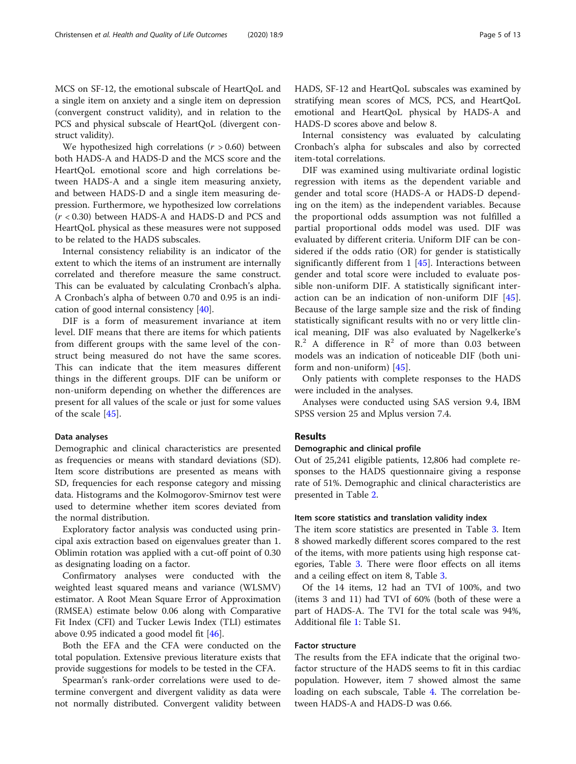MCS on SF-12, the emotional subscale of HeartQoL and a single item on anxiety and a single item on depression (convergent construct validity), and in relation to the PCS and physical subscale of HeartQoL (divergent construct validity).

We hypothesized high correlations  $(r > 0.60)$  between both HADS-A and HADS-D and the MCS score and the HeartQoL emotional score and high correlations between HADS-A and a single item measuring anxiety, and between HADS-D and a single item measuring depression. Furthermore, we hypothesized low correlations (r < 0.30) between HADS-A and HADS-D and PCS and HeartQoL physical as these measures were not supposed to be related to the HADS subscales.

Internal consistency reliability is an indicator of the extent to which the items of an instrument are internally correlated and therefore measure the same construct. This can be evaluated by calculating Cronbach's alpha. A Cronbach's alpha of between 0.70 and 0.95 is an indication of good internal consistency [\[40](#page-12-0)].

DIF is a form of measurement invariance at item level. DIF means that there are items for which patients from different groups with the same level of the construct being measured do not have the same scores. This can indicate that the item measures different things in the different groups. DIF can be uniform or non-uniform depending on whether the differences are present for all values of the scale or just for some values of the scale [[45](#page-12-0)].

## Data analyses

Demographic and clinical characteristics are presented as frequencies or means with standard deviations (SD). Item score distributions are presented as means with SD, frequencies for each response category and missing data. Histograms and the Kolmogorov-Smirnov test were used to determine whether item scores deviated from the normal distribution.

Exploratory factor analysis was conducted using principal axis extraction based on eigenvalues greater than 1. Oblimin rotation was applied with a cut-off point of 0.30 as designating loading on a factor.

Confirmatory analyses were conducted with the weighted least squared means and variance (WLSMV) estimator. A Root Mean Square Error of Approximation (RMSEA) estimate below 0.06 along with Comparative Fit Index (CFI) and Tucker Lewis Index (TLI) estimates above 0.95 indicated a good model fit [[46\]](#page-12-0).

Both the EFA and the CFA were conducted on the total population. Extensive previous literature exists that provide suggestions for models to be tested in the CFA.

Spearman's rank-order correlations were used to determine convergent and divergent validity as data were not normally distributed. Convergent validity between HADS, SF-12 and HeartQoL subscales was examined by stratifying mean scores of MCS, PCS, and HeartQoL emotional and HeartQoL physical by HADS-A and HADS-D scores above and below 8.

Internal consistency was evaluated by calculating Cronbach's alpha for subscales and also by corrected item-total correlations.

DIF was examined using multivariate ordinal logistic regression with items as the dependent variable and gender and total score (HADS-A or HADS-D depending on the item) as the independent variables. Because the proportional odds assumption was not fulfilled a partial proportional odds model was used. DIF was evaluated by different criteria. Uniform DIF can be considered if the odds ratio (OR) for gender is statistically significantly different from 1 [\[45](#page-12-0)]. Interactions between gender and total score were included to evaluate possible non-uniform DIF. A statistically significant interaction can be an indication of non-uniform DIF [\[45](#page-12-0)]. Because of the large sample size and the risk of finding statistically significant results with no or very little clinical meaning, DIF was also evaluated by Nagelkerke's  $R<sup>2</sup>$  A difference in  $R<sup>2</sup>$  of more than 0.03 between models was an indication of noticeable DIF (both uniform and non-uniform) [\[45](#page-12-0)].

Only patients with complete responses to the HADS were included in the analyses.

Analyses were conducted using SAS version 9.4, IBM SPSS version 25 and Mplus version 7.4.

## Results

## Demographic and clinical profile

Out of 25,241 eligible patients, 12,806 had complete responses to the HADS questionnaire giving a response rate of 51%. Demographic and clinical characteristics are presented in Table [2](#page-5-0).

## Item score statistics and translation validity index

The item score statistics are presented in Table [3.](#page-6-0) Item 8 showed markedly different scores compared to the rest of the items, with more patients using high response categories, Table [3.](#page-6-0) There were floor effects on all items and a ceiling effect on item 8, Table [3](#page-6-0).

Of the 14 items, 12 had an TVI of 100%, and two (items 3 and 11) had TVI of 60% (both of these were a part of HADS-A. The TVI for the total scale was 94%, Additional file [1](#page-10-0): Table S1.

## Factor structure

The results from the EFA indicate that the original twofactor structure of the HADS seems to fit in this cardiac population. However, item 7 showed almost the same loading on each subscale, Table [4](#page-7-0). The correlation between HADS-A and HADS-D was 0.66.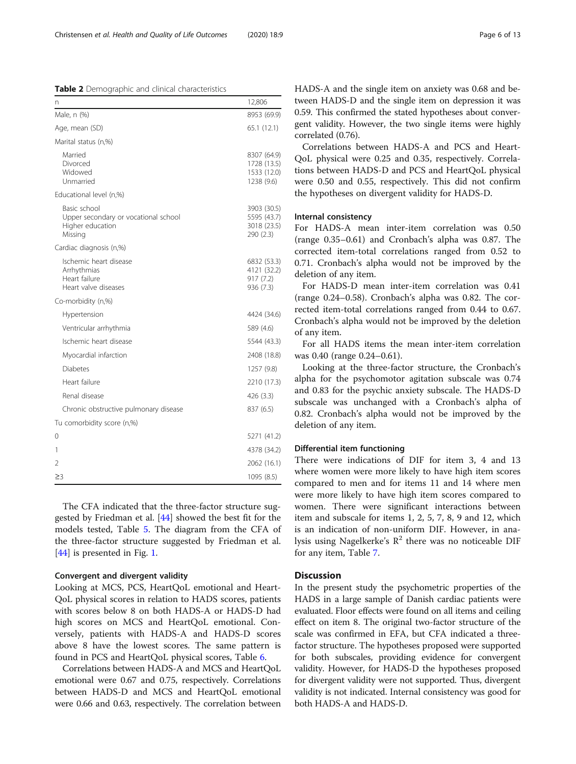<span id="page-5-0"></span>Table 2 Demographic and clinical characteristics

| n                                                                                   | 12,806                                                  |
|-------------------------------------------------------------------------------------|---------------------------------------------------------|
| Male, n (%)                                                                         | 8953 (69.9)                                             |
| Age, mean (SD)                                                                      | 65.1(12.1)                                              |
| Marital status (n,%)                                                                |                                                         |
| Married<br>Divorced<br>Widowed<br>Unmarried                                         | 8307 (64.9)<br>1728 (13.5)<br>1533 (12.0)<br>1238 (9.6) |
| Educational level (n,%)                                                             |                                                         |
| Basic school<br>Upper secondary or vocational school<br>Higher education<br>Missing | 3903 (30.5)<br>5595 (43.7)<br>3018 (23.5)<br>290 (2.3)  |
| Cardiac diagnosis (n,%)                                                             |                                                         |
| Ischemic heart disease<br>Arrhythmias<br>Heart failure<br>Heart valve diseases      | 6832 (53.3)<br>4121 (32.2)<br>917 (7.2)<br>936 (7.3)    |
| Co-morbidity (n,%)                                                                  |                                                         |
| Hypertension                                                                        | 4424 (34.6)                                             |
| Ventricular arrhythmia                                                              | 589 (4.6)                                               |
| Ischemic heart disease                                                              | 5544 (43.3)                                             |
| Myocardial infarction                                                               | 2408 (18.8)                                             |
| <b>Diabetes</b>                                                                     | 1257(9.8)                                               |
| Heart failure                                                                       | 2210 (17.3)                                             |
| Renal disease                                                                       | 426 (3.3)                                               |
| Chronic obstructive pulmonary disease                                               | 837 (6.5)                                               |
| Tu comorbidity score (n,%)                                                          |                                                         |
| 0                                                                                   | 5271 (41.2)                                             |
| 1                                                                                   | 4378 (34.2)                                             |
| 2                                                                                   | 2062 (16.1)                                             |
| $\geq$ 3                                                                            | 1095 (8.5)                                              |

The CFA indicated that the three-factor structure suggested by Friedman et al. [[44\]](#page-12-0) showed the best fit for the models tested, Table [5](#page-7-0). The diagram from the CFA of the three-factor structure suggested by Friedman et al. [[44\]](#page-12-0) is presented in Fig. [1.](#page-8-0)

## Convergent and divergent validity

Looking at MCS, PCS, HeartQoL emotional and Heart-QoL physical scores in relation to HADS scores, patients with scores below 8 on both HADS-A or HADS-D had high scores on MCS and HeartQoL emotional. Conversely, patients with HADS-A and HADS-D scores above 8 have the lowest scores. The same pattern is found in PCS and HeartQoL physical scores, Table [6.](#page-8-0)

Correlations between HADS-A and MCS and HeartQoL emotional were 0.67 and 0.75, respectively. Correlations between HADS-D and MCS and HeartQoL emotional were 0.66 and 0.63, respectively. The correlation between HADS-A and the single item on anxiety was 0.68 and between HADS-D and the single item on depression it was 0.59. This confirmed the stated hypotheses about convergent validity. However, the two single items were highly correlated (0.76).

Correlations between HADS-A and PCS and Heart-QoL physical were 0.25 and 0.35, respectively. Correlations between HADS-D and PCS and HeartQoL physical were 0.50 and 0.55, respectively. This did not confirm the hypotheses on divergent validity for HADS-D.

## Internal consistency

For HADS-A mean inter-item correlation was 0.50 (range 0.35–0.61) and Cronbach's alpha was 0.87. The corrected item-total correlations ranged from 0.52 to 0.71. Cronbach's alpha would not be improved by the deletion of any item.

For HADS-D mean inter-item correlation was 0.41 (range 0.24–0.58). Cronbach's alpha was 0.82. The corrected item-total correlations ranged from 0.44 to 0.67. Cronbach's alpha would not be improved by the deletion of any item.

For all HADS items the mean inter-item correlation was 0.40 (range 0.24–0.61).

Looking at the three-factor structure, the Cronbach's alpha for the psychomotor agitation subscale was 0.74 and 0.83 for the psychic anxiety subscale. The HADS-D subscale was unchanged with a Cronbach's alpha of 0.82. Cronbach's alpha would not be improved by the deletion of any item.

## Differential item functioning

There were indications of DIF for item 3, 4 and 13 where women were more likely to have high item scores compared to men and for items 11 and 14 where men were more likely to have high item scores compared to women. There were significant interactions between item and subscale for items 1, 2, 5, 7, 8, 9 and 12, which is an indication of non-uniform DIF. However, in analysis using Nagelkerke's  $\mathbb{R}^2$  there was no noticeable DIF for any item, Table [7.](#page-9-0)

## **Discussion**

In the present study the psychometric properties of the HADS in a large sample of Danish cardiac patients were evaluated. Floor effects were found on all items and ceiling effect on item 8. The original two-factor structure of the scale was confirmed in EFA, but CFA indicated a threefactor structure. The hypotheses proposed were supported for both subscales, providing evidence for convergent validity. However, for HADS-D the hypotheses proposed for divergent validity were not supported. Thus, divergent validity is not indicated. Internal consistency was good for both HADS-A and HADS-D.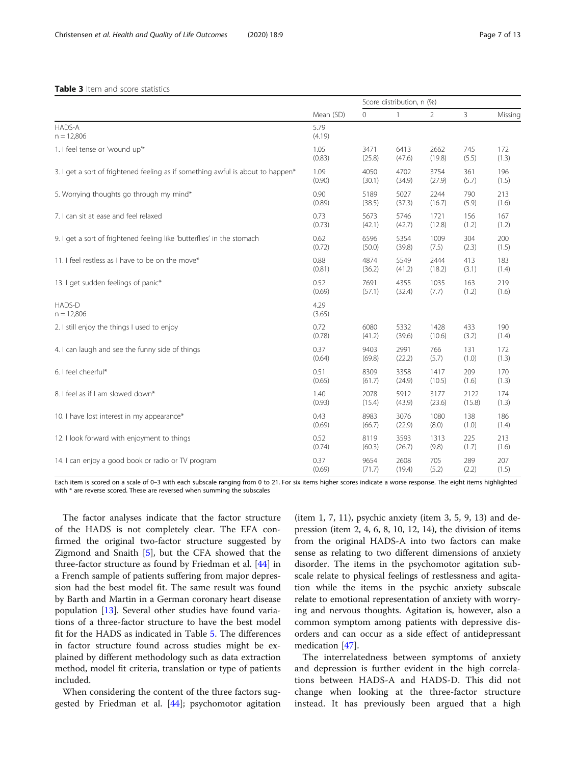## <span id="page-6-0"></span>Table 3 Item and score statistics

|                                                                                 |                | Score distribution, n (%) |        |                |        |         |
|---------------------------------------------------------------------------------|----------------|---------------------------|--------|----------------|--------|---------|
|                                                                                 | Mean (SD)      | $\overline{0}$            | 1      | $\overline{2}$ | 3      | Missing |
| HADS-A<br>$n = 12,806$                                                          | 5.79<br>(4.19) |                           |        |                |        |         |
| 1. I feel tense or 'wound up'*                                                  | 1.05           | 3471                      | 6413   | 2662           | 745    | 172     |
|                                                                                 | (0.83)         | (25.8)                    | (47.6) | (19.8)         | (5.5)  | (1.3)   |
| 3. I get a sort of frightened feeling as if something awful is about to happen* | 1.09           | 4050                      | 4702   | 3754           | 361    | 196     |
|                                                                                 | (0.90)         | (30.1)                    | (34.9) | (27.9)         | (5.7)  | (1.5)   |
| 5. Worrying thoughts go through my mind*                                        | 0.90           | 5189                      | 5027   | 2244           | 790    | 213     |
|                                                                                 | (0.89)         | (38.5)                    | (37.3) | (16.7)         | (5.9)  | (1.6)   |
| 7. I can sit at ease and feel relaxed                                           | 0.73           | 5673                      | 5746   | 1721           | 156    | 167     |
|                                                                                 | (0.73)         | (42.1)                    | (42.7) | (12.8)         | (1.2)  | (1.2)   |
| 9. I get a sort of frightened feeling like 'butterflies' in the stomach         | 0.62           | 6596                      | 5354   | 1009           | 304    | 200     |
|                                                                                 | (0.72)         | (50.0)                    | (39.8) | (7.5)          | (2.3)  | (1.5)   |
| 11. I feel restless as I have to be on the move*                                | 0.88           | 4874                      | 5549   | 2444           | 413    | 183     |
|                                                                                 | (0.81)         | (36.2)                    | (41.2) | (18.2)         | (3.1)  | (1.4)   |
| 13. I get sudden feelings of panic*                                             | 0.52           | 7691                      | 4355   | 1035           | 163    | 219     |
|                                                                                 | (0.69)         | (57.1)                    | (32.4) | (7.7)          | (1.2)  | (1.6)   |
| HADS-D<br>$n = 12,806$                                                          | 4.29<br>(3.65) |                           |        |                |        |         |
| 2. I still enjoy the things I used to enjoy                                     | 0.72           | 6080                      | 5332   | 1428           | 433    | 190     |
|                                                                                 | (0.78)         | (41.2)                    | (39.6) | (10.6)         | (3.2)  | (1.4)   |
| 4. I can laugh and see the funny side of things                                 | 0.37           | 9403                      | 2991   | 766            | 131    | 172     |
|                                                                                 | (0.64)         | (69.8)                    | (22.2) | (5.7)          | (1.0)  | (1.3)   |
| 6. I feel cheerful*                                                             | 0.51           | 8309                      | 3358   | 1417           | 209    | 170     |
|                                                                                 | (0.65)         | (61.7)                    | (24.9) | (10.5)         | (1.6)  | (1.3)   |
| 8. I feel as if I am slowed down*                                               | 1.40           | 2078                      | 5912   | 3177           | 2122   | 174     |
|                                                                                 | (0.93)         | (15.4)                    | (43.9) | (23.6)         | (15.8) | (1.3)   |
| 10. I have lost interest in my appearance*                                      | 0.43           | 8983                      | 3076   | 1080           | 138    | 186     |
|                                                                                 | (0.69)         | (66.7)                    | (22.9) | (8.0)          | (1.0)  | (1.4)   |
| 12. I look forward with enjoyment to things                                     | 0.52           | 8119                      | 3593   | 1313           | 225    | 213     |
|                                                                                 | (0.74)         | (60.3)                    | (26.7) | (9.8)          | (1.7)  | (1.6)   |
| 14. I can enjoy a good book or radio or TV program                              | 0.37           | 9654                      | 2608   | 705            | 289    | 207     |
|                                                                                 | (0.69)         | (71.7)                    | (19.4) | (5.2)          | (2.2)  | (1.5)   |

Each item is scored on a scale of 0–3 with each subscale ranging from 0 to 21. For six items higher scores indicate a worse response. The eight items highlighted with \* are reverse scored. These are reversed when summing the subscales

The factor analyses indicate that the factor structure of the HADS is not completely clear. The EFA confirmed the original two-factor structure suggested by Zigmond and Snaith [[5](#page-11-0)], but the CFA showed that the three-factor structure as found by Friedman et al. [[44](#page-12-0)] in a French sample of patients suffering from major depression had the best model fit. The same result was found by Barth and Martin in a German coronary heart disease population [[13\]](#page-11-0). Several other studies have found variations of a three-factor structure to have the best model fit for the HADS as indicated in Table [5](#page-7-0). The differences in factor structure found across studies might be explained by different methodology such as data extraction method, model fit criteria, translation or type of patients included.

When considering the content of the three factors suggested by Friedman et al. [\[44](#page-12-0)]; psychomotor agitation

(item 1, 7, 11), psychic anxiety (item 3, 5, 9, 13) and depression (item 2, 4, 6, 8, 10, 12, 14), the division of items from the original HADS-A into two factors can make sense as relating to two different dimensions of anxiety disorder. The items in the psychomotor agitation subscale relate to physical feelings of restlessness and agitation while the items in the psychic anxiety subscale relate to emotional representation of anxiety with worrying and nervous thoughts. Agitation is, however, also a common symptom among patients with depressive disorders and can occur as a side effect of antidepressant medication [\[47](#page-12-0)].

The interrelatedness between symptoms of anxiety and depression is further evident in the high correlations between HADS-A and HADS-D. This did not change when looking at the three-factor structure instead. It has previously been argued that a high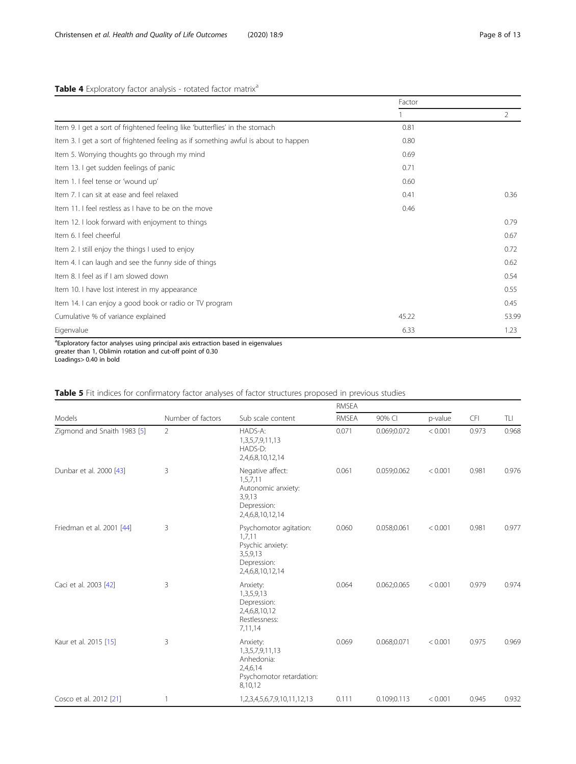## <span id="page-7-0"></span>Table 4 Exploratory factor analysis - rotated factor matrix<sup>a</sup>

|                                                                                     | Factor |                |
|-------------------------------------------------------------------------------------|--------|----------------|
|                                                                                     |        | $\overline{2}$ |
| Item 9. I get a sort of frightened feeling like 'butterflies' in the stomach        | 0.81   |                |
| Item 3. I get a sort of frightened feeling as if something awful is about to happen | 0.80   |                |
| Item 5. Worrying thoughts go through my mind                                        | 0.69   |                |
| Item 13. I get sudden feelings of panic                                             | 0.71   |                |
| Item 1. I feel tense or 'wound up'                                                  | 0.60   |                |
| Item 7. I can sit at ease and feel relaxed                                          | 0.41   | 0.36           |
| Item 11. I feel restless as I have to be on the move                                | 0.46   |                |
| Item 12. I look forward with enjoyment to things                                    |        | 0.79           |
| Item 6. I feel cheerful                                                             |        | 0.67           |
| Item 2. I still enjoy the things I used to enjoy                                    |        | 0.72           |
| Item 4. I can laugh and see the funny side of things                                |        | 0.62           |
| Item 8. I feel as if I am slowed down                                               |        | 0.54           |
| Item 10. I have lost interest in my appearance                                      |        | 0.55           |
| Item 14. I can enjoy a good book or radio or TV program                             |        | 0.45           |
| Cumulative % of variance explained                                                  | 45.22  | 53.99          |
| Eigenvalue                                                                          | 6.33   | 1.23           |

<sup>a</sup>Exploratory factor analyses using principal axis extraction based in eigenvalues greater than 1, Oblimin rotation and cut-off point of 0.30

Loadings> 0.40 in bold

|                             |                   |                                                                                                     | RMSEA        |             |         |            |       |
|-----------------------------|-------------------|-----------------------------------------------------------------------------------------------------|--------------|-------------|---------|------------|-------|
| Models                      | Number of factors | Sub scale content                                                                                   | <b>RMSEA</b> | 90% CI      | p-value | <b>CFI</b> | TLI   |
| Zigmond and Snaith 1983 [5] | $\overline{2}$    | HADS-A:<br>1,3,5,7,9,11,13<br>HADS-D:<br>2,4,6,8,10,12,14                                           | 0.071        | 0.069;0.072 | < 0.001 | 0.973      | 0.968 |
| Dunbar et al. 2000 [43]     | 3                 | Negative affect:<br>1,5,7,11<br>Autonomic anxiety:<br>3,9,13<br>Depression:<br>2,4,6,8,10,12,14     | 0.061        | 0.059;0.062 | < 0.001 | 0.981      | 0.976 |
| Friedman et al. 2001 [44]   | 3                 | Psychomotor agitation:<br>1,7,11<br>Psychic anxiety:<br>3,5,9,13<br>Depression:<br>2,4,6,8,10,12,14 | 0.060        | 0.058;0.061 | < 0.001 | 0.981      | 0.977 |
| Caci et al. 2003 [42]       | 3                 | Anxiety:<br>1,3,5,9,13<br>Depression:<br>2,4,6,8,10,12<br>Restlessness:<br>7,11,14                  | 0.064        | 0.062;0.065 | < 0.001 | 0.979      | 0.974 |
| Kaur et al. 2015 [15]       | 3                 | Anxiety:<br>1, 3, 5, 7, 9, 11, 13<br>Anhedonia:<br>2,4,6,14<br>Psychomotor retardation:<br>8,10,12  | 0.069        | 0.068;0.071 | < 0.001 | 0.975      | 0.969 |
| Cosco et al. 2012 [21]      | 1                 | 1,2,3,4,5,6,7,9,10,11,12,13                                                                         | 0.111        | 0.109;0.113 | < 0.001 | 0.945      | 0.932 |

## Table 5 Fit indices for confirmatory factor analyses of factor structures proposed in previous studies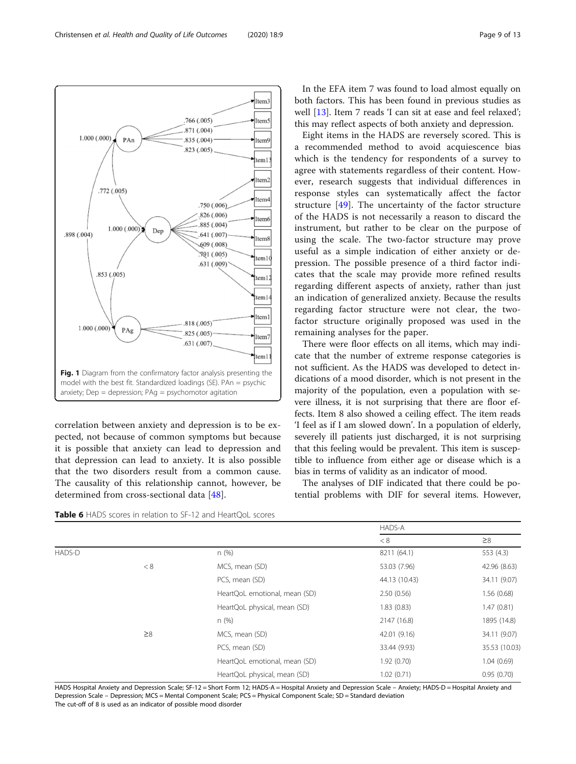<span id="page-8-0"></span>

correlation between anxiety and depression is to be expected, not because of common symptoms but because it is possible that anxiety can lead to depression and that depression can lead to anxiety. It is also possible that the two disorders result from a common cause. The causality of this relationship cannot, however, be determined from cross-sectional data [\[48](#page-12-0)].

In the EFA item 7 was found to load almost equally on both factors. This has been found in previous studies as well [\[13](#page-11-0)]. Item 7 reads 'I can sit at ease and feel relaxed'; this may reflect aspects of both anxiety and depression.

Eight items in the HADS are reversely scored. This is a recommended method to avoid acquiescence bias which is the tendency for respondents of a survey to agree with statements regardless of their content. However, research suggests that individual differences in response styles can systematically affect the factor structure [[49](#page-12-0)]. The uncertainty of the factor structure of the HADS is not necessarily a reason to discard the instrument, but rather to be clear on the purpose of using the scale. The two-factor structure may prove useful as a simple indication of either anxiety or depression. The possible presence of a third factor indicates that the scale may provide more refined results regarding different aspects of anxiety, rather than just an indication of generalized anxiety. Because the results regarding factor structure were not clear, the twofactor structure originally proposed was used in the remaining analyses for the paper.

There were floor effects on all items, which may indicate that the number of extreme response categories is not sufficient. As the HADS was developed to detect indications of a mood disorder, which is not present in the majority of the population, even a population with severe illness, it is not surprising that there are floor effects. Item 8 also showed a ceiling effect. The item reads 'I feel as if I am slowed down'. In a population of elderly, severely ill patients just discharged, it is not surprising that this feeling would be prevalent. This item is susceptible to influence from either age or disease which is a bias in terms of validity as an indicator of mood.

The analyses of DIF indicated that there could be potential problems with DIF for several items. However,

| <b>Table 6</b> HADS scores in relation to SF-12 and HeartQoL scores |  |  |  |
|---------------------------------------------------------------------|--|--|--|
|---------------------------------------------------------------------|--|--|--|

|        |          |                               | HADS-A        |               |
|--------|----------|-------------------------------|---------------|---------------|
|        |          |                               | < 8           | $\geq 8$      |
| HADS-D |          | n(%)                          | 8211 (64.1)   | 553 (4.3)     |
|        | < 8      | MCS, mean (SD)                | 53.03 (7.96)  | 42.96 (8.63)  |
|        |          | PCS, mean (SD)                | 44.13 (10.43) | 34.11 (9.07)  |
|        |          | HeartQoL emotional, mean (SD) | 2.50(0.56)    | 1.56(0.68)    |
|        |          | HeartQoL physical, mean (SD)  | 1.83(0.83)    | 1.47(0.81)    |
|        |          | n (%)                         | 2147 (16.8)   | 1895 (14.8)   |
|        | $\geq 8$ | MCS, mean (SD)                | 42.01 (9.16)  | 34.11 (9.07)  |
|        |          | PCS, mean (SD)                | 33.44 (9.93)  | 35.53 (10.03) |
|        |          | HeartQoL emotional, mean (SD) | 1.92(0.70)    | 1.04(0.69)    |
|        |          | HeartQoL physical, mean (SD)  | 1.02(0.71)    | 0.95(0.70)    |

HADS Hospital Anxiety and Depression Scale; SF-12 = Short Form 12; HADS-A = Hospital Anxiety and Depression Scale - Anxiety; HADS-D = Hospital Anxiety and Depression Scale – Depression; MCS = Mental Component Scale; PCS = Physical Component Scale; SD = Standard deviation The cut-off of 8 is used as an indicator of possible mood disorder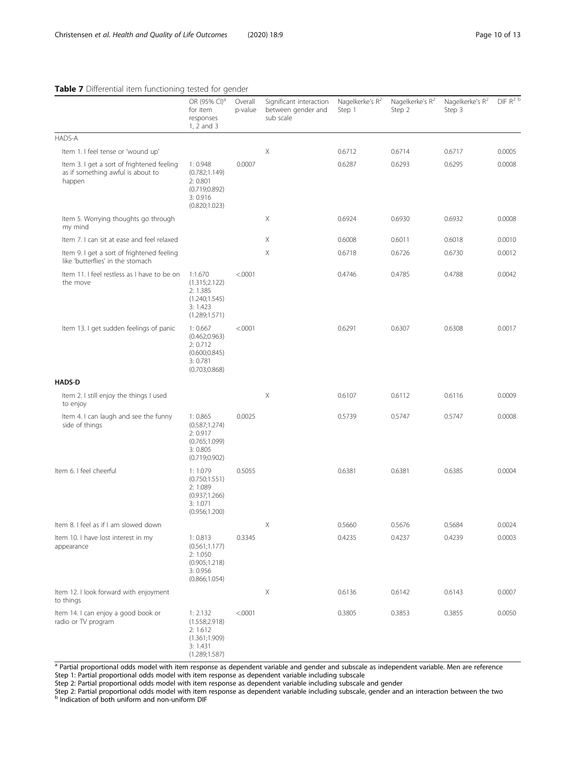## <span id="page-9-0"></span>Table 7 Differential item functioning tested for gender

|                                                                                           | OR (95% CI) <sup>a</sup><br>for item<br>responses<br>1, 2 and 3                      | Overall<br>p-value | Significant interaction<br>between gender and<br>sub scale | Nagelkerke's $R^2$<br>Step 1 | Nagelkerke's R <sup>2</sup><br>Step 2 | Nagelkerke's R <sup>2</sup><br>Step 3 | $DF R^2$ |
|-------------------------------------------------------------------------------------------|--------------------------------------------------------------------------------------|--------------------|------------------------------------------------------------|------------------------------|---------------------------------------|---------------------------------------|----------|
| HADS-A                                                                                    |                                                                                      |                    |                                                            |                              |                                       |                                       |          |
| Item 1. I feel tense or 'wound up'                                                        |                                                                                      |                    | Χ                                                          | 0.6712                       | 0.6714                                | 0.6717                                | 0.0005   |
| Item 3. I get a sort of frightened feeling<br>as if something awful is about to<br>happen | 1:0.948<br>(0.782;1.149)<br>2:0.801<br>(0.719; 0.892)<br>3:0.916<br>(0.820;1.023)    | 0.0007             |                                                            | 0.6287                       | 0.6293                                | 0.6295                                | 0.0008   |
| Item 5. Worrying thoughts go through<br>my mind                                           |                                                                                      |                    | Χ                                                          | 0.6924                       | 0.6930                                | 0.6932                                | 0.0008   |
| Item 7. I can sit at ease and feel relaxed                                                |                                                                                      |                    | Χ                                                          | 0.6008                       | 0.6011                                | 0.6018                                | 0.0010   |
| Item 9. I get a sort of frightened feeling<br>like 'butterflies' in the stomach           |                                                                                      |                    | Χ                                                          | 0.6718                       | 0.6726                                | 0.6730                                | 0.0012   |
| Item 11. I feel restless as I have to be on<br>the move                                   | 1:1.670<br>(1.315;2.122)<br>2:1.385<br>(1.240; 1.545)<br>3:1.423<br>(1.289; 1.571)   | < .0001            |                                                            | 0.4746                       | 0.4785                                | 0.4788                                | 0.0042   |
| Item 13. I get sudden feelings of panic                                                   | 1:0.667<br>(0.462; 0.963)<br>2: 0.712<br>(0.600; 0.845)<br>3:0.781<br>(0.703; 0.868) | < .0001            |                                                            | 0.6291                       | 0.6307                                | 0.6308                                | 0.0017   |
| <b>HADS-D</b>                                                                             |                                                                                      |                    |                                                            |                              |                                       |                                       |          |
| Item 2. I still enjoy the things I used<br>to enjoy                                       |                                                                                      |                    | Χ                                                          | 0.6107                       | 0.6112                                | 0.6116                                | 0.0009   |
| Item 4. I can laugh and see the funny<br>side of things                                   | 1:0.865<br>(0.587;1.274)<br>2:0.917<br>(0.765;1.099)<br>3:0.805<br>(0.719; 0.902)    | 0.0025             |                                                            | 0.5739                       | 0.5747                                | 0.5747                                | 0.0008   |
| Item 6. I feel cheerful                                                                   | 1:1.079<br>(0.750; 1.551)<br>2:1.089<br>(0.937;1.266)<br>3:1.071<br>(0.956; 1.200)   | 0.5055             |                                                            | 0.6381                       | 0.6381                                | 0.6385                                | 0.0004   |
| Item 8. I feel as if I am slowed down                                                     |                                                                                      |                    | Χ                                                          | 0.5660                       | 0.5676                                | 0.5684                                | 0.0024   |
| Item 10. I have lost interest in my<br>appearance                                         | 1:0.813<br>(0.561;1.177)<br>2:1.050<br>(0.905; 1.218)<br>3:0.956<br>(0.866; 1.054)   | 0.3345             |                                                            | 0.4235                       | 0.4237                                | 0.4239                                | 0.0003   |
| Item 12. I look forward with enjoyment<br>to things                                       |                                                                                      |                    | Χ                                                          | 0.6136                       | 0.6142                                | 0.6143                                | 0.0007   |
| Item 14. I can enjoy a good book or<br>radio or TV program                                | 1: 2.132<br>(1.558; 2.918)<br>2:1.612<br>(1.361;1.909)<br>3:1.431<br>(1.289; 1.587)  | < .0001            |                                                            | 0.3805                       | 0.3853                                | 0.3855                                | 0.0050   |

a Partial proportional odds model with item response as dependent variable and gender and subscale as independent variable. Men are reference Step 1: Partial proportional odds model with item response as dependent variable including subscale

Step 2: Partial proportional odds model with item response as dependent variable including subscale and gender

Step 2: Partial proportional odds model with item response as dependent variable including subscale, gender and an interaction between the two<br><sup>b</sup> Indication of both uniform and non-uniform DIF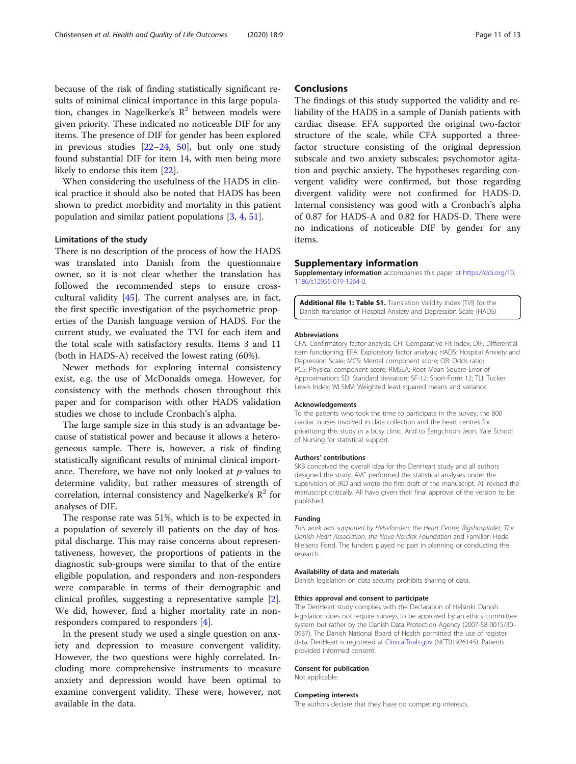<span id="page-10-0"></span>because of the risk of finding statistically significant results of minimal clinical importance in this large population, changes in Nagelkerke's  $\mathbb{R}^2$  between models were given priority. These indicated no noticeable DIF for any items. The presence of DIF for gender has been explored in previous studies  $[22-24, 50]$  $[22-24, 50]$  $[22-24, 50]$  $[22-24, 50]$  $[22-24, 50]$ , but only one study found substantial DIF for item 14, with men being more likely to endorse this item [\[22](#page-11-0)].

When considering the usefulness of the HADS in clinical practice it should also be noted that HADS has been shown to predict morbidity and mortality in this patient population and similar patient populations [[3](#page-11-0), [4](#page-11-0), [51](#page-12-0)].

## Limitations of the study

There is no description of the process of how the HADS was translated into Danish from the questionnaire owner, so it is not clear whether the translation has followed the recommended steps to ensure crosscultural validity [[45](#page-12-0)]. The current analyses are, in fact, the first specific investigation of the psychometric properties of the Danish language version of HADS. For the current study, we evaluated the TVI for each item and the total scale with satisfactory results. Items 3 and 11 (both in HADS-A) received the lowest rating (60%).

Newer methods for exploring internal consistency exist, e.g. the use of McDonalds omega. However, for consistency with the methods chosen throughout this paper and for comparison with other HADS validation studies we chose to include Cronbach's alpha.

The large sample size in this study is an advantage because of statistical power and because it allows a heterogeneous sample. There is, however, a risk of finding statistically significant results of minimal clinical importance. Therefore, we have not only looked at  $p$ -values to determine validity, but rather measures of strength of correlation, internal consistency and Nagelkerke's  $\mathbb{R}^2$  for analyses of DIF.

The response rate was 51%, which is to be expected in a population of severely ill patients on the day of hospital discharge. This may raise concerns about representativeness, however, the proportions of patients in the diagnostic sub-groups were similar to that of the entire eligible population, and responders and non-responders were comparable in terms of their demographic and clinical profiles, suggesting a representative sample [\[2](#page-11-0)]. We did, however, find a higher mortality rate in nonresponders compared to responders [[4\]](#page-11-0).

In the present study we used a single question on anxiety and depression to measure convergent validity. However, the two questions were highly correlated. Including more comprehensive instruments to measure anxiety and depression would have been optimal to examine convergent validity. These were, however, not available in the data.

## **Conclusions**

The findings of this study supported the validity and reliability of the HADS in a sample of Danish patients with cardiac disease. EFA supported the original two-factor structure of the scale, while CFA supported a threefactor structure consisting of the original depression subscale and two anxiety subscales; psychomotor agitation and psychic anxiety. The hypotheses regarding convergent validity were confirmed, but those regarding divergent validity were not confirmed for HADS-D. Internal consistency was good with a Cronbach's alpha of 0.87 for HADS-A and 0.82 for HADS-D. There were no indications of noticeable DIF by gender for any items.

## Supplementary information

Supplementary information accompanies this paper at [https://doi.org/10.](https://doi.org/10.1186/s12955-019-1264-0) [1186/s12955-019-1264-0.](https://doi.org/10.1186/s12955-019-1264-0)

Additional file 1: Table S1. Translation Validity Index (TVI) for the Danish translation of Hospital Anxiety and Depression Scale (HADS)

#### Abbreviations

CFA: Confirmatory factor analysis; CFI: Comparative Fit Index; DIF: Differential item functioning; EFA: Exploratory factor analysis; HADS: Hospital Anxiety and Depression Scale; MCS: Mental component score; OR: Odds ratio; PCS: Physical component score; RMSEA: Root Mean Square Error of Approximation; SD: Standard deviation; SF-12: Short-Form 12; TLI: Tucker Lewis Index; WLSMV: Weighted least squared means and variance

## Acknowledgements

To the patients who took the time to participate in the survey, the 800 cardiac nurses involved in data collection and the heart centres for prioritizing this study in a busy clinic. And to Sangchoon Jeon, Yale School of Nursing for statistical support.

#### Authors' contributions

SKB conceived the overall idea for the DenHeart study and all authors designed the study. AVC performed the statistical analyses under the supervision of JKD and wrote the first draft of the manuscript. All revised the manuscript critically. All have given their final approval of the version to be published.

#### Funding

This work was supported by Helsefonden; the Heart Centre, Rigshospitalet, The Danish Heart Association, the Novo Nordisk Foundation and Familien Hede Nielsens Fond. The funders played no part in planning or conducting the research.

## Availability of data and materials

Danish legislation on data security prohibits sharing of data.

## Ethics approval and consent to participate

The DenHeart study complies with the Declaration of Helsinki. Danish legislation does not require surveys to be approved by an ethics committee system but rather by the Danish Data Protection Agency (2007-58-0015/30– 0937). The Danish National Board of Health permitted the use of register data. DenHeart is registered at [ClinicalTrials.gov](http://clinicaltrials.gov) (NCT01926145). Patients provided informed consent.

## Consent for publication

Not applicable.

#### Competing interests

The authors declare that they have no competing interests.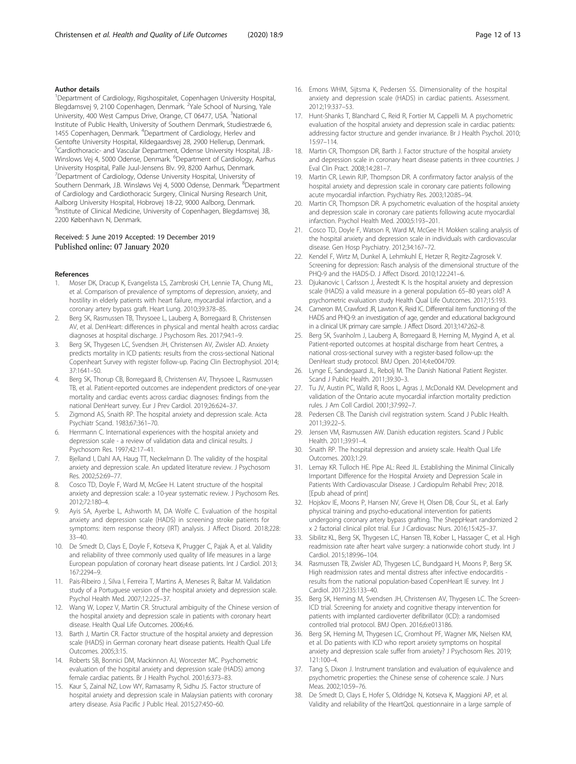## <span id="page-11-0"></span>Author details

<sup>1</sup>Department of Cardiology, Rigshospitalet, Copenhagen University Hospital, Blegdamsvej 9, 2100 Copenhagen, Denmark. <sup>2</sup>Yale School of Nursing, Yale University, 400 West Campus Drive, Orange, CT 06477, USA. <sup>3</sup>National Institute of Public Health, University of Southern Denmark, Studiestræde 6, 1455 Copenhagen, Denmark. <sup>4</sup>Department of Cardiology, Herlev and Gentofte University Hospital, Kildegaardsvej 28, 2900 Hellerup, Denmark. <sup>5</sup>Cardiothoracic- and Vascular Department, Odense University Hospital, J.B.-Winslows Vej 4, 5000 Odense, Denmark. <sup>6</sup>Department of Cardiology, Aarhus University Hospital, Palle Juul-Jensens Blv. 99, 8200 Aarhus, Denmark. <sup>7</sup> Department of Cardiology, Odense University Hospital, University of Southern Denmark, J.B. Winsløws Vej 4, 5000 Odense, Denmark. <sup>8</sup>Department of Cardiology and Cardiothoracic Surgery, Clinical Nursing Research Unit, Aalborg University Hospital, Hobrovej 18-22, 9000 Aalborg, Denmark. 9 Institute of Clinical Medicine, University of Copenhagen, Blegdamsvej 3B, 2200 København N, Denmark.

## Received: 5 June 2019 Accepted: 19 December 2019 Published online: 07 January 2020

#### References

- 1. Moser DK, Dracup K, Evangelista LS, Zambroski CH, Lennie TA, Chung ML, et al. Comparison of prevalence of symptoms of depression, anxiety, and hostility in elderly patients with heart failure, myocardial infarction, and a coronary artery bypass graft. Heart Lung. 2010;39:378–85.
- 2. Berg SK, Rasmussen TB, Thrysoee L, Lauberg A, Borregaard B, Christensen AV, et al. DenHeart: differences in physical and mental health across cardiac diagnoses at hospital discharge. J Psychosom Res. 2017;94:1–9.
- 3. Berg SK, Thygesen LC, Svendsen JH, Christensen AV, Zwisler AD. Anxiety predicts mortality in ICD patients: results from the cross-sectional National Copenheart Survey with register follow-up. Pacing Clin Electrophysiol. 2014; 37:1641–50.
- 4. Berg SK, Thorup CB, Borregaard B, Christensen AV, Thrysoee L, Rasmussen TB, et al. Patient-reported outcomes are independent predictors of one-year mortality and cardiac events across cardiac diagnoses: findings from the national DenHeart survey. Eur J Prev Cardiol. 2019;26:624–37.
- Zigmond AS, Snaith RP. The hospital anxiety and depression scale. Acta Psychiatr Scand. 1983;67:361–70.
- 6. Herrmann C. International experiences with the hospital anxiety and depression scale - a review of validation data and clinical results. J Psychosom Res. 1997;42:17–41.
- 7. Bjelland I, Dahl AA, Haug TT, Neckelmann D. The validity of the hospital anxiety and depression scale. An updated literature review. J Psychosom Res. 2002;52:69–77.
- Cosco TD, Doyle F, Ward M, McGee H. Latent structure of the hospital anxiety and depression scale: a 10-year systematic review. J Psychosom Res. 2012;72:180–4.
- 9. Ayis SA, Ayerbe L, Ashworth M, DA Wolfe C. Evaluation of the hospital anxiety and depression scale (HADS) in screening stroke patients for symptoms: item response theory (IRT) analysis. J Affect Disord. 2018;228: 33–40.
- 10. De Smedt D, Clays E, Doyle F, Kotseva K, Prugger C, Pajak A, et al. Validity and reliability of three commonly used quality of life measures in a large European population of coronary heart disease patients. Int J Cardiol. 2013; 167:2294–9.
- 11. Pais-Ribeiro J, Silva I, Ferreira T, Martins A, Meneses R, Baltar M. Validation study of a Portuguese version of the hospital anxiety and depression scale. Psychol Health Med. 2007;12:225–37.
- 12. Wang W, Lopez V, Martin CR. Structural ambiguity of the Chinese version of the hospital anxiety and depression scale in patients with coronary heart disease. Health Qual Life Outcomes. 2006;4:6.
- 13. Barth J, Martin CR. Factor structure of the hospital anxiety and depression scale (HADS) in German coronary heart disease patients. Health Qual Life Outcomes. 2005;3:15.
- 14. Roberts SB, Bonnici DM, Mackinnon AJ, Worcester MC. Psychometric evaluation of the hospital anxiety and depression scale (HADS) among female cardiac patients. Br J Health Psychol. 2001;6:373–83.
- 15. Kaur S, Zainal NZ, Low WY, Ramasamy R, Sidhu JS. Factor structure of hospital anxiety and depression scale in Malaysian patients with coronary artery disease. Asia Pacific J Public Heal. 2015;27:450–60.
- 16. Emons WHM, Sijtsma K, Pedersen SS. Dimensionality of the hospital anxiety and depression scale (HADS) in cardiac patients. Assessment. 2012;19:337–53.
- 17. Hunt-Shanks T, Blanchard C, Reid R, Fortier M, Cappelli M. A psychometric evaluation of the hospital anxiety and depression scale in cardiac patients: addressing factor structure and gender invariance. Br J Health Psychol. 2010; 15:97–114.
- 18. Martin CR, Thompson DR, Barth J. Factor structure of the hospital anxiety and depression scale in coronary heart disease patients in three countries. J Eval Clin Pract. 2008;14:281–7.
- 19. Martin CR, Lewin RJP, Thompson DR. A confirmatory factor analysis of the hospital anxiety and depression scale in coronary care patients following acute myocardial infarction. Psychiatry Res. 2003;120:85–94.
- 20. Martin CR, Thompson DR. A psychometric evaluation of the hospital anxiety and depression scale in coronary care patients following acute myocardial infarction. Psychol Health Med. 2000;5:193–201.
- 21. Cosco TD, Doyle F, Watson R, Ward M, McGee H. Mokken scaling analysis of the hospital anxiety and depression scale in individuals with cardiovascular disease. Gen Hosp Psychiatry. 2012;34:167–72.
- 22. Kendel F, Wirtz M, Dunkel A, Lehmkuhl E, Hetzer R, Regitz-Zagrosek V. Screening for depression: Rasch analysis of the dimensional structure of the PHQ-9 and the HADS-D. J Affect Disord. 2010;122:241–6.
- 23. Djukanovic I, Carlsson J, Årestedt K. Is the hospital anxiety and depression scale (HADS) a valid measure in a general population 65–80 years old? A psychometric evaluation study Health Qual Life Outcomes. 2017;15:193.
- 24. Cameron IM, Crawford JR, Lawton K, Reid IC. Differential item functioning of the HADS and PHQ-9: an investigation of age, gender and educational background in a clinical UK primary care sample. J Affect Disord. 2013;147:262–8.
- 25. Berg SK, Svanholm J, Lauberg A, Borregaard B, Herning M, Mygind A, et al. Patient-reported outcomes at hospital discharge from heart Centres, a national cross-sectional survey with a register-based follow-up: the DenHeart study protocol. BMJ Open. 2014;4:e004709.
- 26. Lynge E, Sandegaard JL, Rebolj M. The Danish National Patient Register. Scand J Public Health. 2011;39:30–3.
- 27. Tu JV, Austin PC, Walld R, Roos L, Agras J, McDonald KM. Development and validation of the Ontario acute myocardial infarction mortality prediction rules. J Am Coll Cardiol. 2001;37:992–7.
- 28. Pedersen CB. The Danish civil registration system. Scand J Public Health. 2011;39:22–5.
- 29. Jensen VM, Rasmussen AW. Danish education registers. Scand J Public Health. 2011;39:91–4.
- 30. Snaith RP. The hospital depression and anxiety scale. Health Qual Life Outcomes. 2003;1:29.
- 31. Lemay KR. Tulloch HE. Pipe AL: Reed JL. Establishing the Minimal Clinically Important Difference for the Hospital Anxiety and Depression Scale in Patients With Cardiovascular Disease. J Cardiopulm Rehabil Prev; 2018. [Epub ahead of print]
- 32. Hojskov IE, Moons P, Hansen NV, Greve H, Olsen DB, Cour SL, et al. Early physical training and psycho-educational intervention for patients undergoing coronary artery bypass grafting. The SheppHeart randomized 2 x 2 factorial clinical pilot trial. Eur J Cardiovasc Nurs. 2016;15:425–37.
- 33. Sibilitz KL, Berg SK, Thygesen LC, Hansen TB, Kober L, Hassager C, et al. High readmission rate after heart valve surgery: a nationwide cohort study. Int J Cardiol. 2015;189:96–104.
- 34. Rasmussen TB, Zwisler AD, Thygesen LC, Bundgaard H, Moons P, Berg SK. High readmission rates and mental distress after infective endocarditis results from the national population-based CopenHeart IE survey. Int J Cardiol. 2017;235:133–40.
- 35. Berg SK, Herning M, Svendsen JH, Christensen AV, Thygesen LC. The Screen-ICD trial. Screening for anxiety and cognitive therapy intervention for patients with implanted cardioverter defibrillator (ICD): a randomised controlled trial protocol. BMJ Open. 2016;6:e013186.
- 36. Berg SK, Herning M, Thygesen LC, Cromhout PF, Wagner MK, Nielsen KM, et al. Do patients with ICD who report anxiety symptoms on hospital anxiety and depression scale suffer from anxiety? J Psychosom Res. 2019; 121:100–4.
- 37. Tang S, Dixon J. Instrument translation and evaluation of equivalence and psychometric properties: the Chinese sense of coherence scale. J Nurs Meas. 2002;10:59–76.
- 38. De Smedt D, Clays E, Hofer S, Oldridge N, Kotseva K, Maggioni AP, et al. Validity and reliability of the HeartQoL questionnaire in a large sample of